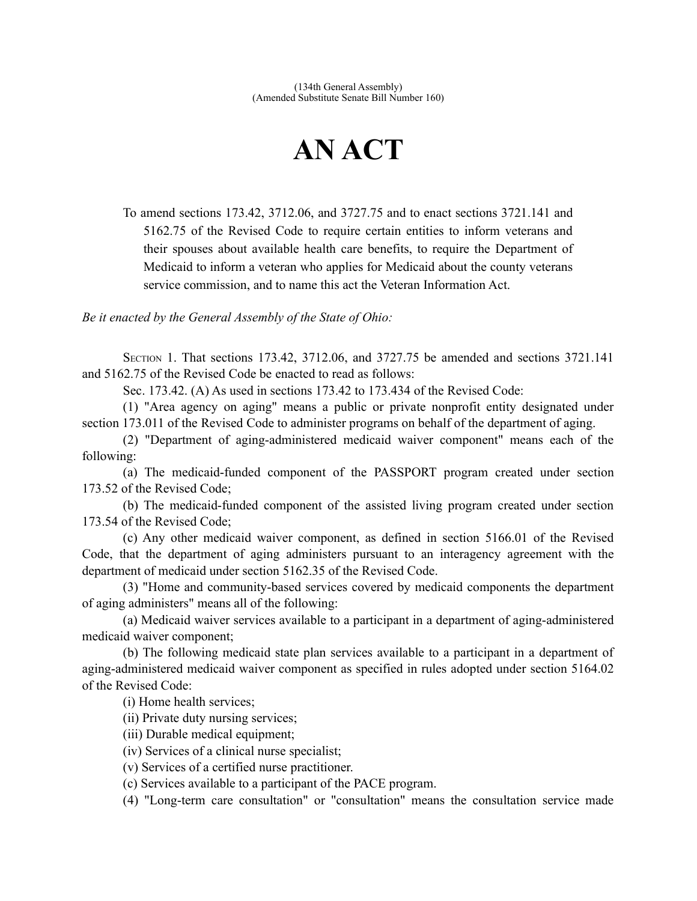## **AN ACT**

To amend sections 173.42, 3712.06, and 3727.75 and to enact sections 3721.141 and 5162.75 of the Revised Code to require certain entities to inform veterans and their spouses about available health care benefits, to require the Department of Medicaid to inform a veteran who applies for Medicaid about the county veterans service commission, and to name this act the Veteran Information Act.

*Be it enacted by the General Assembly of the State of Ohio:*

SECTION 1. That sections 173.42, 3712.06, and 3727.75 be amended and sections 3721.141 and 5162.75 of the Revised Code be enacted to read as follows:

Sec. 173.42. (A) As used in sections 173.42 to 173.434 of the Revised Code:

(1) "Area agency on aging" means a public or private nonprofit entity designated under section 173.011 of the Revised Code to administer programs on behalf of the department of aging.

(2) "Department of aging-administered medicaid waiver component" means each of the following:

(a) The medicaid-funded component of the PASSPORT program created under section 173.52 of the Revised Code;

(b) The medicaid-funded component of the assisted living program created under section 173.54 of the Revised Code;

(c) Any other medicaid waiver component, as defined in section 5166.01 of the Revised Code, that the department of aging administers pursuant to an interagency agreement with the department of medicaid under section 5162.35 of the Revised Code.

(3) "Home and community-based services covered by medicaid components the department of aging administers" means all of the following:

(a) Medicaid waiver services available to a participant in a department of aging-administered medicaid waiver component;

(b) The following medicaid state plan services available to a participant in a department of aging-administered medicaid waiver component as specified in rules adopted under section 5164.02 of the Revised Code:

(i) Home health services;

(ii) Private duty nursing services;

(iii) Durable medical equipment;

(iv) Services of a clinical nurse specialist;

(v) Services of a certified nurse practitioner.

(c) Services available to a participant of the PACE program.

(4) "Long-term care consultation" or "consultation" means the consultation service made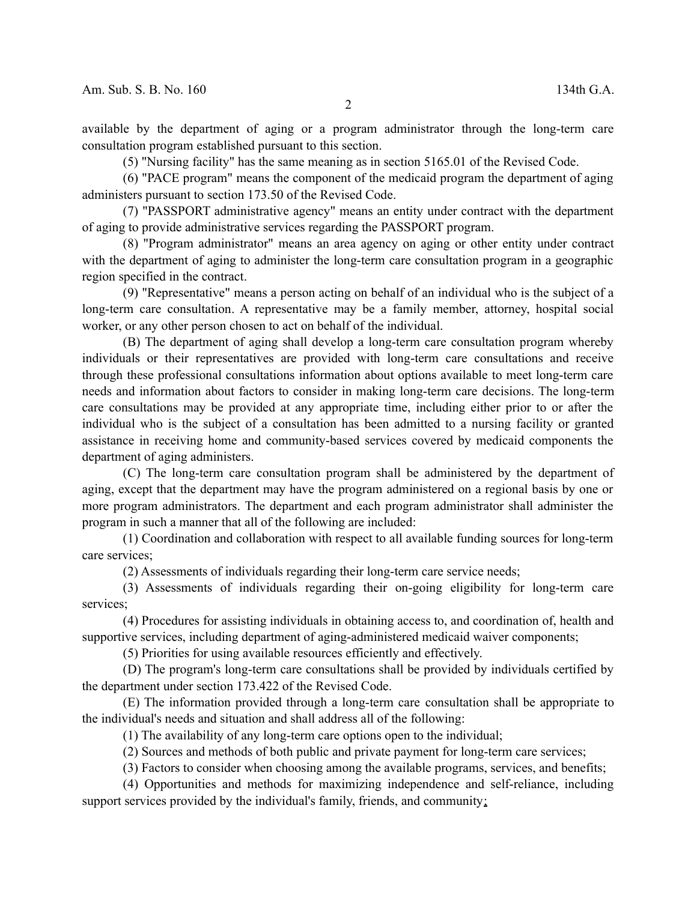available by the department of aging or a program administrator through the long-term care consultation program established pursuant to this section.

(5) "Nursing facility" has the same meaning as in section 5165.01 of the Revised Code.

(6) "PACE program" means the component of the medicaid program the department of aging administers pursuant to section 173.50 of the Revised Code.

(7) "PASSPORT administrative agency" means an entity under contract with the department of aging to provide administrative services regarding the PASSPORT program.

(8) "Program administrator" means an area agency on aging or other entity under contract with the department of aging to administer the long-term care consultation program in a geographic region specified in the contract.

(9) "Representative" means a person acting on behalf of an individual who is the subject of a long-term care consultation. A representative may be a family member, attorney, hospital social worker, or any other person chosen to act on behalf of the individual.

(B) The department of aging shall develop a long-term care consultation program whereby individuals or their representatives are provided with long-term care consultations and receive through these professional consultations information about options available to meet long-term care needs and information about factors to consider in making long-term care decisions. The long-term care consultations may be provided at any appropriate time, including either prior to or after the individual who is the subject of a consultation has been admitted to a nursing facility or granted assistance in receiving home and community-based services covered by medicaid components the department of aging administers.

(C) The long-term care consultation program shall be administered by the department of aging, except that the department may have the program administered on a regional basis by one or more program administrators. The department and each program administrator shall administer the program in such a manner that all of the following are included:

(1) Coordination and collaboration with respect to all available funding sources for long-term care services;

(2) Assessments of individuals regarding their long-term care service needs;

(3) Assessments of individuals regarding their on-going eligibility for long-term care services;

(4) Procedures for assisting individuals in obtaining access to, and coordination of, health and supportive services, including department of aging-administered medicaid waiver components;

(5) Priorities for using available resources efficiently and effectively.

(D) The program's long-term care consultations shall be provided by individuals certified by the department under section 173.422 of the Revised Code.

(E) The information provided through a long-term care consultation shall be appropriate to the individual's needs and situation and shall address all of the following:

(1) The availability of any long-term care options open to the individual;

(2) Sources and methods of both public and private payment for long-term care services;

(3) Factors to consider when choosing among the available programs, services, and benefits;

(4) Opportunities and methods for maximizing independence and self-reliance, including support services provided by the individual's family, friends, and community;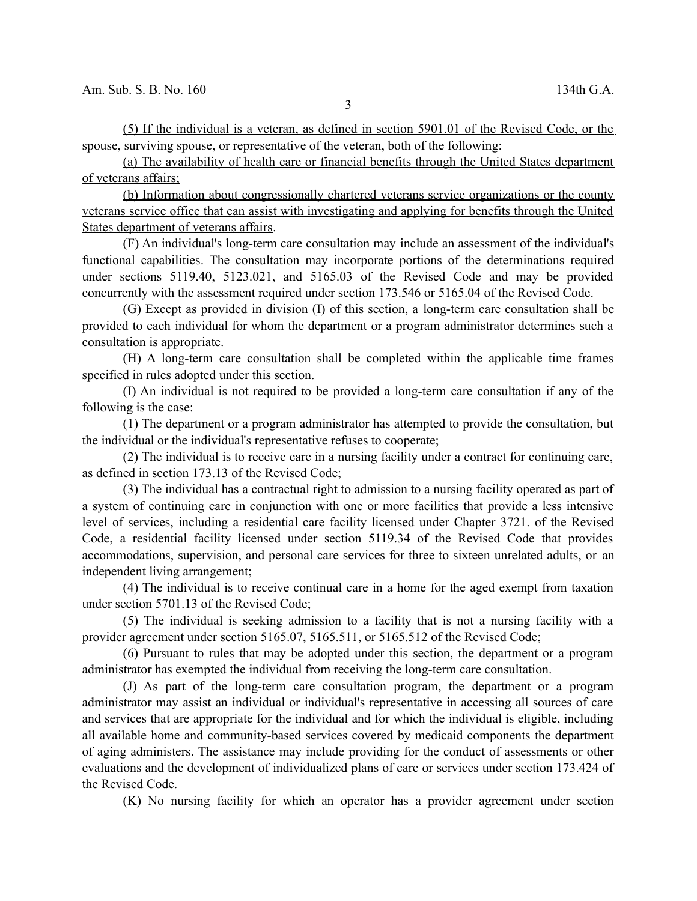(5) If the individual is a veteran, as defined in section 5901.01 of the Revised Code, or the spouse, surviving spouse, or representative of the veteran, both of the following:

(a) The availability of health care or financial benefits through the United States department of veterans affairs;

(b) Information about congressionally chartered veterans service organizations or the county veterans service office that can assist with investigating and applying for benefits through the United States department of veterans affairs.

(F) An individual's long-term care consultation may include an assessment of the individual's functional capabilities. The consultation may incorporate portions of the determinations required under sections 5119.40, 5123.021, and 5165.03 of the Revised Code and may be provided concurrently with the assessment required under section 173.546 or 5165.04 of the Revised Code.

(G) Except as provided in division (I) of this section, a long-term care consultation shall be provided to each individual for whom the department or a program administrator determines such a consultation is appropriate.

(H) A long-term care consultation shall be completed within the applicable time frames specified in rules adopted under this section.

(I) An individual is not required to be provided a long-term care consultation if any of the following is the case:

(1) The department or a program administrator has attempted to provide the consultation, but the individual or the individual's representative refuses to cooperate;

(2) The individual is to receive care in a nursing facility under a contract for continuing care, as defined in section 173.13 of the Revised Code;

(3) The individual has a contractual right to admission to a nursing facility operated as part of a system of continuing care in conjunction with one or more facilities that provide a less intensive level of services, including a residential care facility licensed under Chapter 3721. of the Revised Code, a residential facility licensed under section 5119.34 of the Revised Code that provides accommodations, supervision, and personal care services for three to sixteen unrelated adults, or an independent living arrangement;

(4) The individual is to receive continual care in a home for the aged exempt from taxation under section 5701.13 of the Revised Code;

(5) The individual is seeking admission to a facility that is not a nursing facility with a provider agreement under section 5165.07, 5165.511, or 5165.512 of the Revised Code;

(6) Pursuant to rules that may be adopted under this section, the department or a program administrator has exempted the individual from receiving the long-term care consultation.

(J) As part of the long-term care consultation program, the department or a program administrator may assist an individual or individual's representative in accessing all sources of care and services that are appropriate for the individual and for which the individual is eligible, including all available home and community-based services covered by medicaid components the department of aging administers. The assistance may include providing for the conduct of assessments or other evaluations and the development of individualized plans of care or services under section 173.424 of the Revised Code.

(K) No nursing facility for which an operator has a provider agreement under section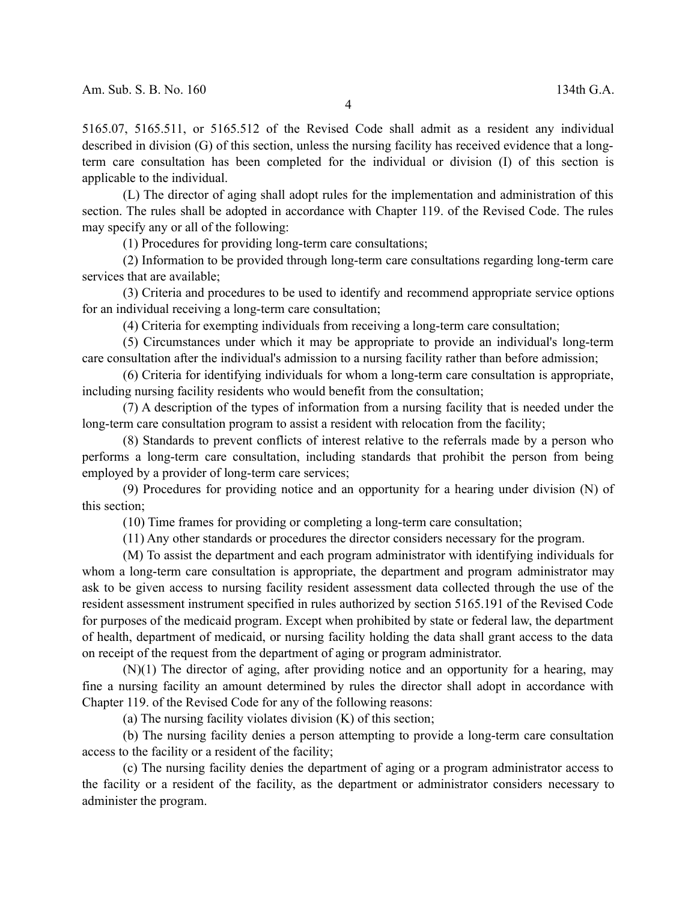4

5165.07, 5165.511, or 5165.512 of the Revised Code shall admit as a resident any individual described in division (G) of this section, unless the nursing facility has received evidence that a longterm care consultation has been completed for the individual or division (I) of this section is applicable to the individual.

(L) The director of aging shall adopt rules for the implementation and administration of this section. The rules shall be adopted in accordance with Chapter 119. of the Revised Code. The rules may specify any or all of the following:

(1) Procedures for providing long-term care consultations;

(2) Information to be provided through long-term care consultations regarding long-term care services that are available;

(3) Criteria and procedures to be used to identify and recommend appropriate service options for an individual receiving a long-term care consultation;

(4) Criteria for exempting individuals from receiving a long-term care consultation;

(5) Circumstances under which it may be appropriate to provide an individual's long-term care consultation after the individual's admission to a nursing facility rather than before admission;

(6) Criteria for identifying individuals for whom a long-term care consultation is appropriate, including nursing facility residents who would benefit from the consultation;

(7) A description of the types of information from a nursing facility that is needed under the long-term care consultation program to assist a resident with relocation from the facility;

(8) Standards to prevent conflicts of interest relative to the referrals made by a person who performs a long-term care consultation, including standards that prohibit the person from being employed by a provider of long-term care services;

(9) Procedures for providing notice and an opportunity for a hearing under division (N) of this section;

(10) Time frames for providing or completing a long-term care consultation;

(11) Any other standards or procedures the director considers necessary for the program.

(M) To assist the department and each program administrator with identifying individuals for whom a long-term care consultation is appropriate, the department and program administrator may ask to be given access to nursing facility resident assessment data collected through the use of the resident assessment instrument specified in rules authorized by section 5165.191 of the Revised Code for purposes of the medicaid program. Except when prohibited by state or federal law, the department of health, department of medicaid, or nursing facility holding the data shall grant access to the data on receipt of the request from the department of aging or program administrator.

(N)(1) The director of aging, after providing notice and an opportunity for a hearing, may fine a nursing facility an amount determined by rules the director shall adopt in accordance with Chapter 119. of the Revised Code for any of the following reasons:

(a) The nursing facility violates division (K) of this section;

(b) The nursing facility denies a person attempting to provide a long-term care consultation access to the facility or a resident of the facility;

(c) The nursing facility denies the department of aging or a program administrator access to the facility or a resident of the facility, as the department or administrator considers necessary to administer the program.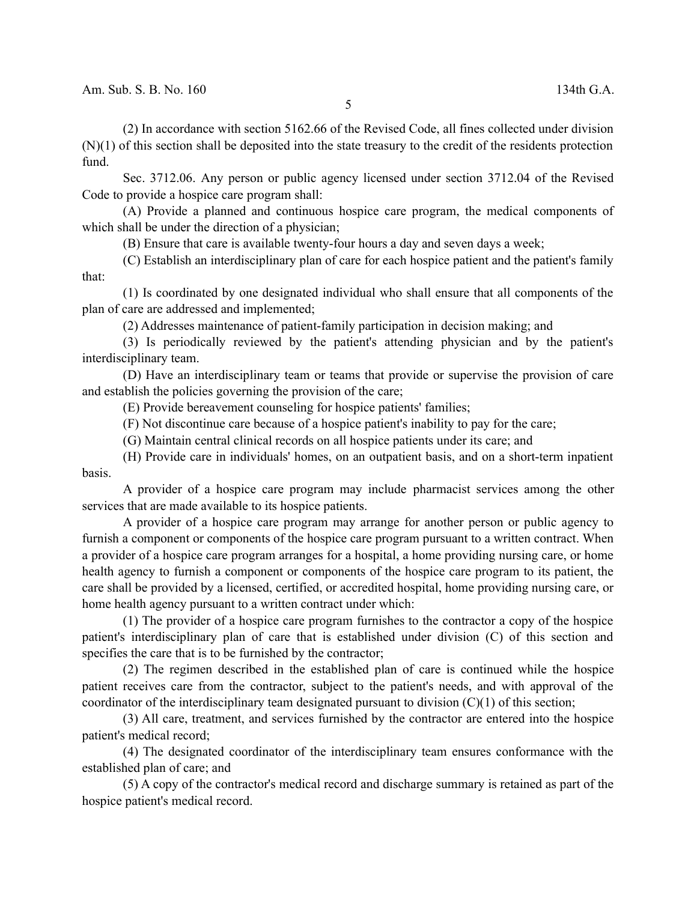(2) In accordance with section 5162.66 of the Revised Code, all fines collected under division (N)(1) of this section shall be deposited into the state treasury to the credit of the residents protection fund.

Sec. 3712.06. Any person or public agency licensed under section 3712.04 of the Revised Code to provide a hospice care program shall:

(A) Provide a planned and continuous hospice care program, the medical components of which shall be under the direction of a physician;

(B) Ensure that care is available twenty-four hours a day and seven days a week;

(C) Establish an interdisciplinary plan of care for each hospice patient and the patient's family that:

(1) Is coordinated by one designated individual who shall ensure that all components of the plan of care are addressed and implemented;

(2) Addresses maintenance of patient-family participation in decision making; and

(3) Is periodically reviewed by the patient's attending physician and by the patient's interdisciplinary team.

(D) Have an interdisciplinary team or teams that provide or supervise the provision of care and establish the policies governing the provision of the care;

(E) Provide bereavement counseling for hospice patients' families;

(F) Not discontinue care because of a hospice patient's inability to pay for the care;

(G) Maintain central clinical records on all hospice patients under its care; and

(H) Provide care in individuals' homes, on an outpatient basis, and on a short-term inpatient basis.

A provider of a hospice care program may include pharmacist services among the other services that are made available to its hospice patients.

A provider of a hospice care program may arrange for another person or public agency to furnish a component or components of the hospice care program pursuant to a written contract. When a provider of a hospice care program arranges for a hospital, a home providing nursing care, or home health agency to furnish a component or components of the hospice care program to its patient, the care shall be provided by a licensed, certified, or accredited hospital, home providing nursing care, or home health agency pursuant to a written contract under which:

(1) The provider of a hospice care program furnishes to the contractor a copy of the hospice patient's interdisciplinary plan of care that is established under division (C) of this section and specifies the care that is to be furnished by the contractor;

(2) The regimen described in the established plan of care is continued while the hospice patient receives care from the contractor, subject to the patient's needs, and with approval of the coordinator of the interdisciplinary team designated pursuant to division  $(C)(1)$  of this section;

(3) All care, treatment, and services furnished by the contractor are entered into the hospice patient's medical record;

(4) The designated coordinator of the interdisciplinary team ensures conformance with the established plan of care; and

(5) A copy of the contractor's medical record and discharge summary is retained as part of the hospice patient's medical record.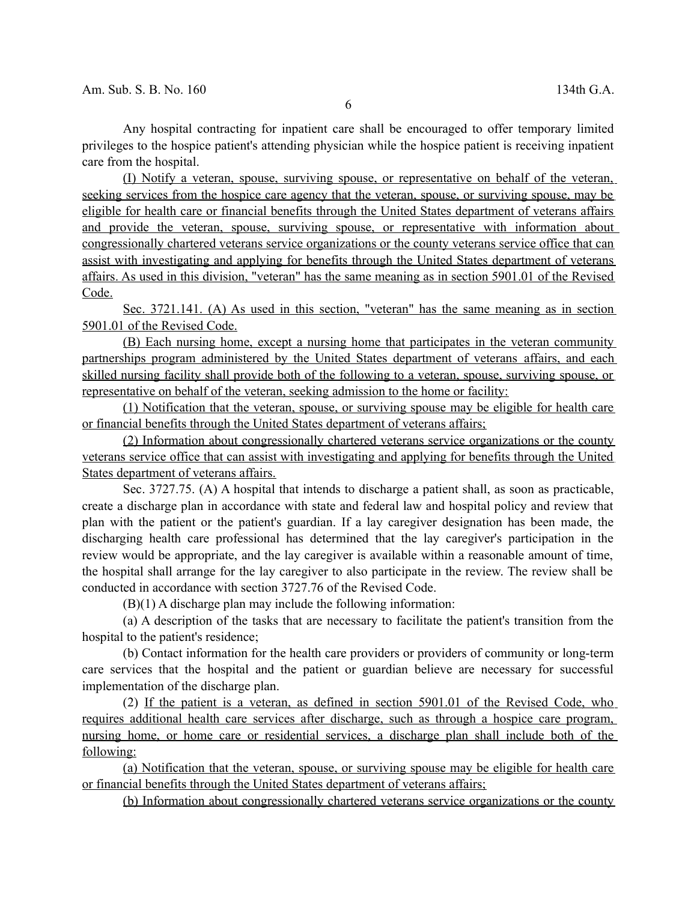Any hospital contracting for inpatient care shall be encouraged to offer temporary limited privileges to the hospice patient's attending physician while the hospice patient is receiving inpatient care from the hospital.

(I) Notify a veteran, spouse, surviving spouse, or representative on behalf of the veteran, seeking services from the hospice care agency that the veteran, spouse, or surviving spouse, may be eligible for health care or financial benefits through the United States department of veterans affairs and provide the veteran, spouse, surviving spouse, or representative with information about congressionally chartered veterans service organizations or the county veterans service office that can assist with investigating and applying for benefits through the United States department of veterans affairs. As used in this division, "veteran" has the same meaning as in section 5901.01 of the Revised Code.

 Sec. 3721.141. (A) As used in this section, "veteran" has the same meaning as in section 5901.01 of the Revised Code.

(B) Each nursing home, except a nursing home that participates in the veteran community partnerships program administered by the United States department of veterans affairs, and each skilled nursing facility shall provide both of the following to a veteran, spouse, surviving spouse, or representative on behalf of the veteran, seeking admission to the home or facility:

(1) Notification that the veteran, spouse, or surviving spouse may be eligible for health care or financial benefits through the United States department of veterans affairs;

(2) Information about congressionally chartered veterans service organizations or the county veterans service office that can assist with investigating and applying for benefits through the United States department of veterans affairs.

Sec. 3727.75. (A) A hospital that intends to discharge a patient shall, as soon as practicable, create a discharge plan in accordance with state and federal law and hospital policy and review that plan with the patient or the patient's guardian. If a lay caregiver designation has been made, the discharging health care professional has determined that the lay caregiver's participation in the review would be appropriate, and the lay caregiver is available within a reasonable amount of time, the hospital shall arrange for the lay caregiver to also participate in the review. The review shall be conducted in accordance with section 3727.76 of the Revised Code.

(B)(1) A discharge plan may include the following information:

(a) A description of the tasks that are necessary to facilitate the patient's transition from the hospital to the patient's residence;

(b) Contact information for the health care providers or providers of community or long-term care services that the hospital and the patient or guardian believe are necessary for successful implementation of the discharge plan.

(2) If the patient is a veteran, as defined in section 5901.01 of the Revised Code, who requires additional health care services after discharge, such as through a hospice care program, nursing home, or home care or residential services, a discharge plan shall include both of the following:

(a) Notification that the veteran, spouse, or surviving spouse may be eligible for health care or financial benefits through the United States department of veterans affairs;

(b) Information about congressionally chartered veterans service organizations or the county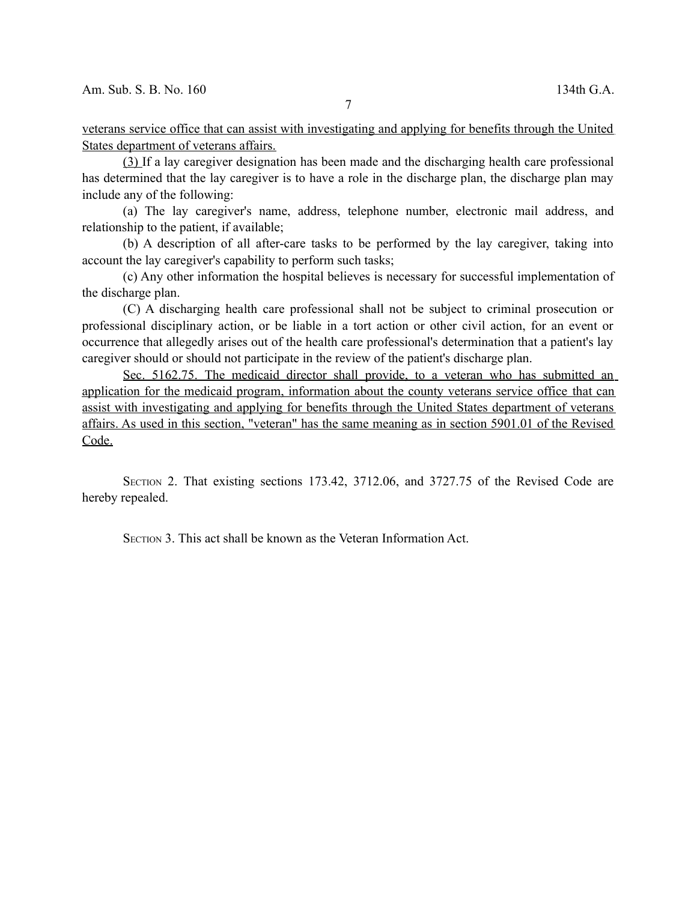veterans service office that can assist with investigating and applying for benefits through the United States department of veterans affairs.

(3) If a lay caregiver designation has been made and the discharging health care professional has determined that the lay caregiver is to have a role in the discharge plan, the discharge plan may include any of the following:

(a) The lay caregiver's name, address, telephone number, electronic mail address, and relationship to the patient, if available;

(b) A description of all after-care tasks to be performed by the lay caregiver, taking into account the lay caregiver's capability to perform such tasks;

(c) Any other information the hospital believes is necessary for successful implementation of the discharge plan.

(C) A discharging health care professional shall not be subject to criminal prosecution or professional disciplinary action, or be liable in a tort action or other civil action, for an event or occurrence that allegedly arises out of the health care professional's determination that a patient's lay caregiver should or should not participate in the review of the patient's discharge plan.

 Sec. 5162.75. The medicaid director shall provide, to a veteran who has submitted an application for the medicaid program, information about the county veterans service office that can assist with investigating and applying for benefits through the United States department of veterans affairs. As used in this section, "veteran" has the same meaning as in section 5901.01 of the Revised Code.

SECTION 2. That existing sections 173.42, 3712.06, and 3727.75 of the Revised Code are hereby repealed.

SECTION 3. This act shall be known as the Veteran Information Act.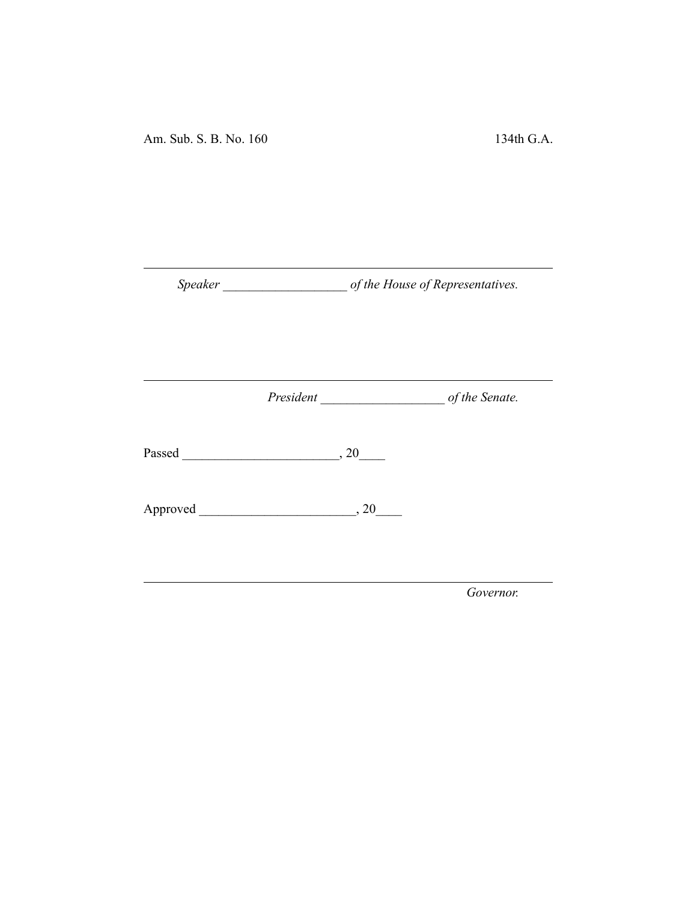Am. Sub. S. B. No. 160 134th G.A.

*Speaker \_\_\_\_\_\_\_\_\_\_\_\_\_\_\_\_\_\_\_ of the House of Representatives.*

*President \_\_\_\_\_\_\_\_\_\_\_\_\_\_\_\_\_\_\_ of the Senate.*

Passed \_\_\_\_\_\_\_\_\_\_\_\_\_\_\_\_\_\_\_\_\_\_\_\_, 20\_\_\_\_

Approved \_\_\_\_\_\_\_\_\_\_\_\_\_\_\_\_\_\_\_\_\_\_\_\_, 20\_\_\_\_

*Governor.*